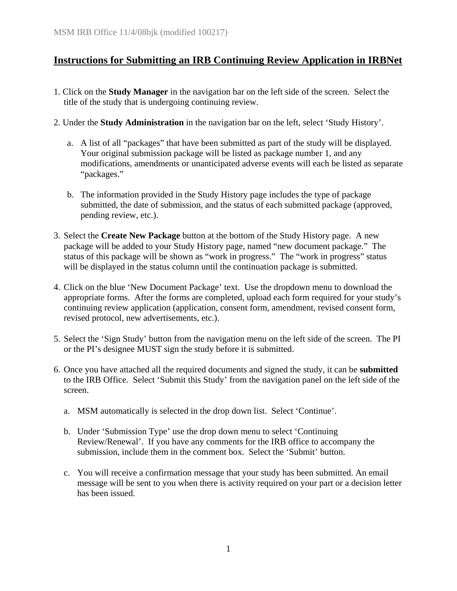## **Instructions for Submitting an IRB Continuing Review Application in IRBNet**

- 1. Click on the **Study Manager** in the navigation bar on the left side of the screen. Select the title of the study that is undergoing continuing review.
- 2. Under the **Study Administration** in the navigation bar on the left, select 'Study History'.
	- a. A list of all "packages" that have been submitted as part of the study will be displayed. Your original submission package will be listed as package number 1, and any modifications, amendments or unanticipated adverse events will each be listed as separate "packages."
	- b. The information provided in the Study History page includes the type of package submitted, the date of submission, and the status of each submitted package (approved, pending review, etc.).
- 3. Select the **Create New Package** button at the bottom of the Study History page. A new package will be added to your Study History page, named "new document package." The status of this package will be shown as "work in progress." The "work in progress" status will be displayed in the status column until the continuation package is submitted.
- 4. Click on the blue 'New Document Package' text. Use the dropdown menu to download the appropriate forms. After the forms are completed, upload each form required for your study's continuing review application (application, consent form, amendment, revised consent form, revised protocol, new advertisements, etc.).
- 5. Select the 'Sign Study' button from the navigation menu on the left side of the screen. The PI or the PI's designee MUST sign the study before it is submitted.
- 6. Once you have attached all the required documents and signed the study, it can be **submitted** to the IRB Office. Select 'Submit this Study' from the navigation panel on the left side of the screen.
	- a. MSM automatically is selected in the drop down list. Select 'Continue'.
	- b. Under 'Submission Type' use the drop down menu to select 'Continuing Review/Renewal'. If you have any comments for the IRB office to accompany the submission, include them in the comment box. Select the 'Submit' button.
	- c. You will receive a confirmation message that your study has been submitted. An email message will be sent to you when there is activity required on your part or a decision letter has been issued.